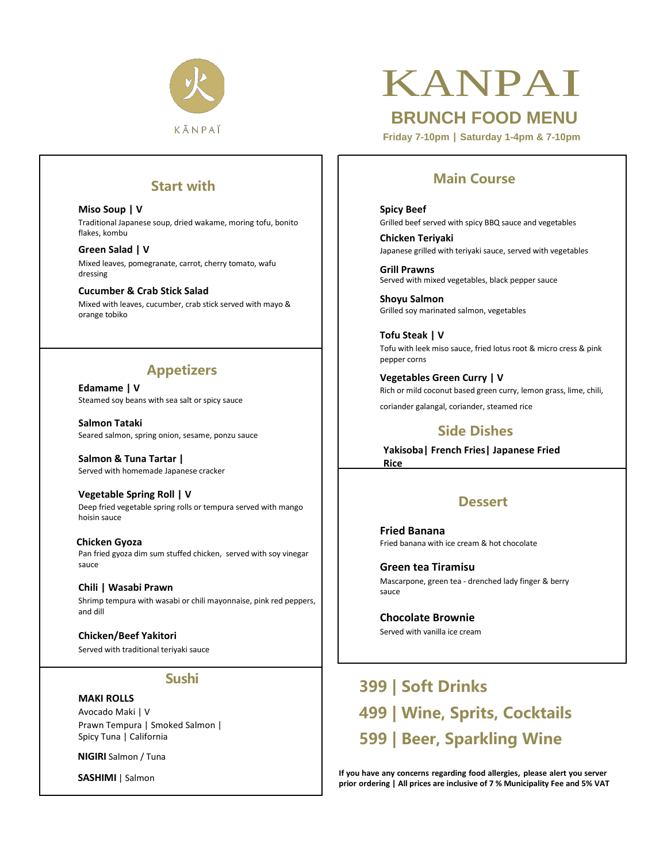

# KANPAI

**BRUNCH FOOD MENU**

**Friday 7-10pm | Saturday 1-4pm & 7-10pm**

#### **Start with**

**Miso Soup | V** Traditional Japanese soup, dried wakame, moring tofu, bonito flakes, kombu

**Green Salad | V** Mixed leaves, pomegranate, carrot, cherry tomato, wafu dressing

**Cucumber & Crab Stick Salad** Mixed with leaves, cucumber, crab stick served with mayo & orange tobiko

#### **Appetizers**

**Edamame | V** Steamed soy beans with sea salt or spicy sauce

**Salmon Tataki** Seared salmon, spring onion, sesame, ponzu sauce

**Salmon & Tuna Tartar |**  Served with homemade Japanese cracker

**Vegetable Spring Roll | V** Deep fried vegetable spring rolls or tempura served with mango hoisin sauce

 **Chicken Gyoza** Pan fried gyoza dim sum stuffed chicken, served with soy vinegar sauce

**Chili | Wasabi Prawn** Shrimp tempura with wasabi or chili mayonnaise, pink red peppers, and dill

**Chicken/Beef Yakitori** Served with traditional teriyaki sauce

#### **Sushi**

#### **MAKI ROLLS**

Avocado Maki | V Prawn Tempura | Smoked Salmon | Spicy Tuna | California

 **NIGIRI** Salmon / Tuna

 **SASHIMI** | Salmon

#### **Main Course**

**Spicy Beef** Grilled beef served with spicy BBQ sauce and vegetables

**Chicken Teriyaki** Japanese grilled with teriyaki sauce, served with vegetables

**Grill Prawns** Served with mixed vegetables, black pepper sauce

**Shoyu Salmon** Grilled soy marinated salmon, vegetables

 **Tofu Steak | V** Tofu with leek miso sauce, fried lotus root & micro cress & pink pepper corns

**Vegetables Green Curry | V** Rich or mild coconut based green curry, lemon grass, lime, chili, coriander galangal, coriander, steamed rice

#### **Side Dishes**

**Yakisoba| French Fries| Japanese Fried** 

**Dessert**

**Fried Banana** Fried banana with ice cream & hot chocolate

**Green tea Tiramisu** Mascarpone, green tea - drenched lady finger & berry sauce

**Chocolate Brownie**  Served with vanilla ice cream

**Rice**

 **399 | Soft Drinks 499 | Wine, Sprits, Cocktails 599 | Beer, Sparkling Wine**

**If you have any concerns regarding food allergies, please alert you server prior ordering | All prices are inclusive of 7 % Municipality Fee and 5% VAT**